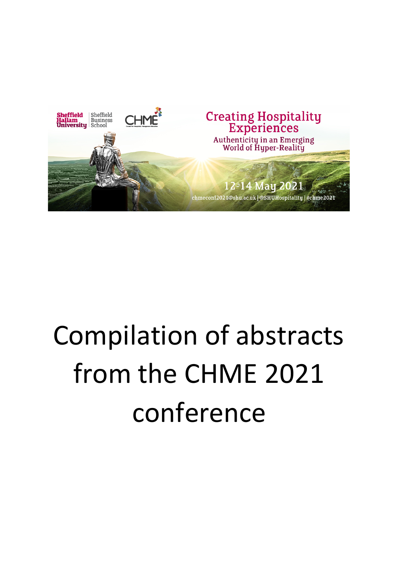

# Compilation of abstracts from the CHME 2021 conference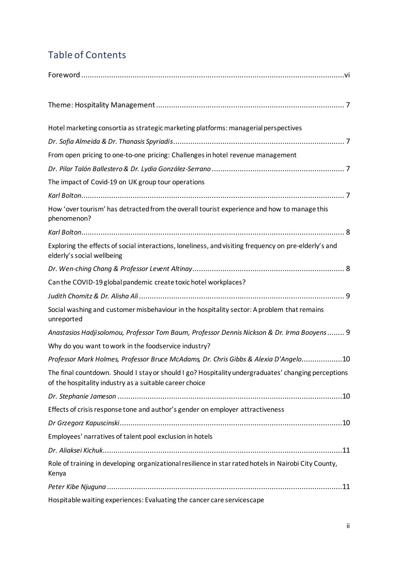## Table of Contents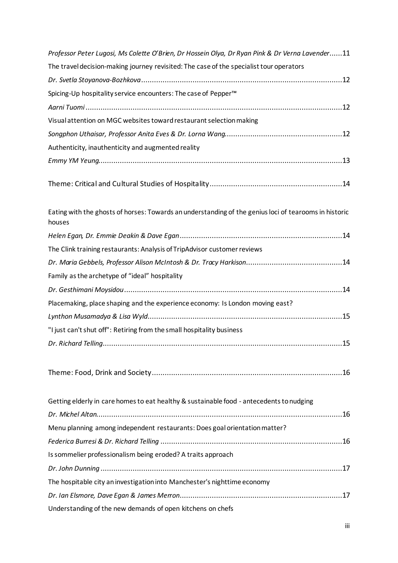| Professor Peter Lugosi, Ms Colette O'Brien, Dr Hossein Olya, Dr Ryan Pink & Dr Verna Lavender11                 |
|-----------------------------------------------------------------------------------------------------------------|
| The travel decision-making journey revisited: The case of the specialist tour operators                         |
|                                                                                                                 |
| Spicing-Up hospitality service encounters: The case of Pepper <sup>™</sup>                                      |
|                                                                                                                 |
| Visual attention on MGC websites toward restaurant selection making                                             |
|                                                                                                                 |
| Authenticity, inauthenticity and augmented reality                                                              |
|                                                                                                                 |
|                                                                                                                 |
| Eating with the ghosts of horses: Towards an understanding of the genius loci of tearooms in historic<br>houses |
|                                                                                                                 |
| The Clink training restaurants: Analysis of TripAdvisor customer reviews                                        |
|                                                                                                                 |
| Family as the archetype of "ideal" hospitality                                                                  |
|                                                                                                                 |
| Placemaking, place shaping and the experience economy: Is London moving east?                                   |
|                                                                                                                 |
| "I just can't shut off": Retiring from the small hospitality business                                           |
|                                                                                                                 |
|                                                                                                                 |
| Getting elderly in care homes to eat healthy & sustainable food - antecedents to nudging                        |
|                                                                                                                 |
|                                                                                                                 |
| Menu planning among independent restaurants: Does goal orientation matter?                                      |
|                                                                                                                 |
| Is sommelier professionalism being eroded? A traits approach                                                    |
|                                                                                                                 |
| The hospitable city an investigation into Manchester's nighttime economy                                        |
|                                                                                                                 |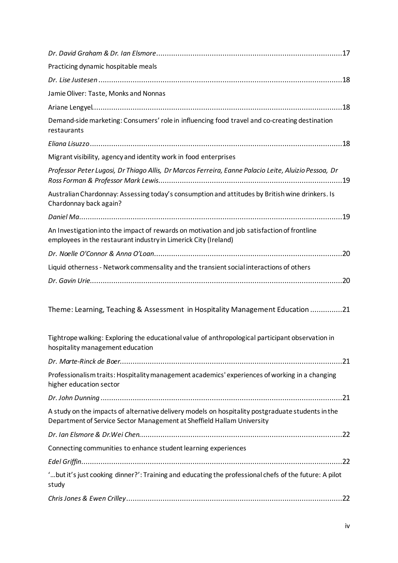| Practicing dynamic hospitable meals                                                                                                                                         |
|-----------------------------------------------------------------------------------------------------------------------------------------------------------------------------|
|                                                                                                                                                                             |
| Jamie Oliver: Taste, Monks and Nonnas                                                                                                                                       |
|                                                                                                                                                                             |
| Demand-side marketing: Consumers' role in influencing food travel and co-creating destination<br>restaurants                                                                |
|                                                                                                                                                                             |
| Migrant visibility, agency and identity work in food enterprises                                                                                                            |
| Professor Peter Lugosi, Dr Thiago Allis, Dr Marcos Ferreira, Eanne Palacio Leite, Aluizio Pessoa, Dr                                                                        |
| Australian Chardonnay: Assessing today's consumption and attitudes by British wine drinkers. Is<br>Chardonnay back again?                                                   |
|                                                                                                                                                                             |
| An Investigation into the impact of rewards on motivation and job satisfaction of frontline<br>employees in the restaurant industry in Limerick City (Ireland)              |
|                                                                                                                                                                             |
| Liquid otherness - Network commensality and the transient social interactions of others                                                                                     |
|                                                                                                                                                                             |
| Theme: Learning, Teaching & Assessment in Hospitality Management Education 21                                                                                               |
| Tightrope walking: Exploring the educational value of anthropological participant observation in<br>hospitality management education                                        |
|                                                                                                                                                                             |
| Professionalism traits: Hospitality management academics' experiences of working in a changing<br>higher education sector                                                   |
|                                                                                                                                                                             |
| A study on the impacts of alternative delivery models on hospitality postgraduate students in the<br>Department of Service Sector Management at Sheffield Hallam University |
|                                                                                                                                                                             |
| Connecting communities to enhance student learning experiences                                                                                                              |
|                                                                                                                                                                             |
| ' but it's just cooking dinner?': Training and educating the professional chefs of the future: A pilot<br>study                                                             |
|                                                                                                                                                                             |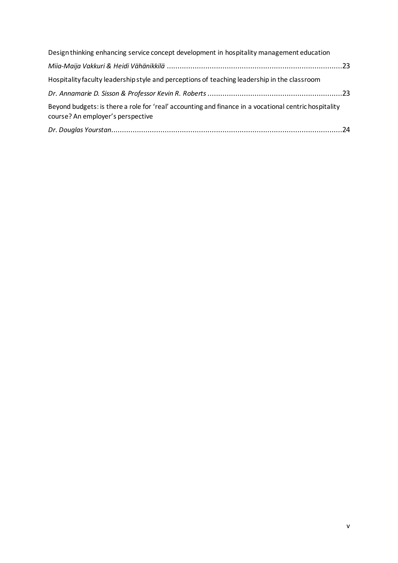| Design thinking enhancing service concept development in hospitality management education                                                  |  |
|--------------------------------------------------------------------------------------------------------------------------------------------|--|
|                                                                                                                                            |  |
| Hospitality faculty leadership style and perceptions of teaching leadership in the classroom                                               |  |
|                                                                                                                                            |  |
| Beyond budgets: is there a role for 'real' accounting and finance in a vocational centric hospitality<br>course? An employer's perspective |  |
|                                                                                                                                            |  |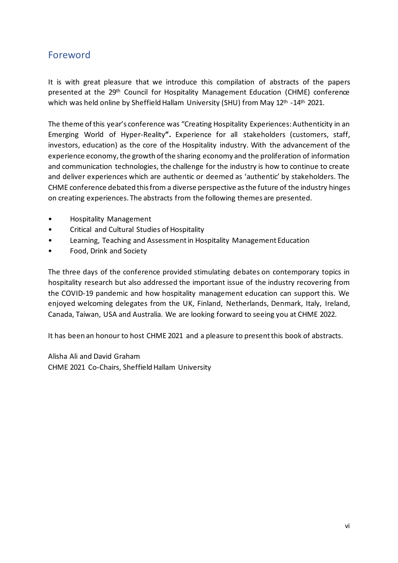## <span id="page-5-0"></span>Foreword

It is with great pleasure that we introduce this compilation of abstracts of the papers presented at the 29<sup>th</sup> Council for Hospitality Management Education (CHME) conference which was held online by Sheffield Hallam University (SHU) from May 12<sup>th</sup> -14<sup>th</sup> 2021.

The theme of this year's conference was "Creating Hospitality Experiences: Authenticity in an Emerging World of Hyper-Reality**".** Experience for all stakeholders (customers, staff, investors, education) as the core of the Hospitality industry. With the advancement of the experience economy, the growth of the sharing economy and the proliferation of information and communication technologies, the challenge for the industry is how to continue to create and deliver experiences which are authentic or deemed as 'authentic' by stakeholders. The CHME conference debated this from a diverse perspective as the future of the industry hinges on creating experiences. The abstracts from the following themes are presented.

- Hospitality Management
- Critical and Cultural Studies of Hospitality
- Learning, Teaching and Assessment in Hospitality Management Education
- Food, Drink and Society

The three days of the conference provided stimulating debates on contemporary topics in hospitality research but also addressed the important issue of the industry recovering from the COVID-19 pandemic and how hospitality management education can support this. We enjoyed welcoming delegates from the UK, Finland, Netherlands, Denmark, Italy, Ireland, Canada, Taiwan, USA and Australia. We are looking forward to seeing you at CHME 2022.

It has been an honour to host CHME 2021 and a pleasure to present this book of abstracts.

Alisha Ali and David Graham CHME 2021 Co-Chairs, Sheffield Hallam University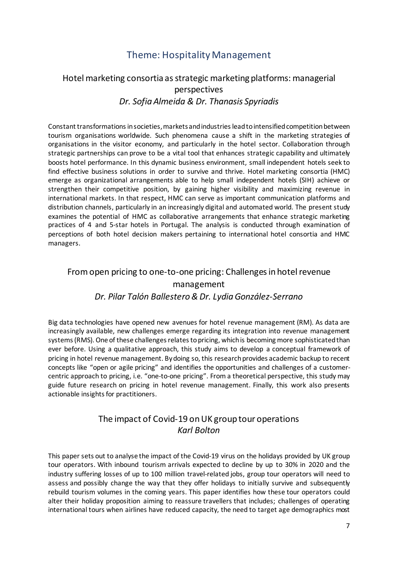## Theme: Hospitality Management

#### <span id="page-6-2"></span><span id="page-6-1"></span><span id="page-6-0"></span>Hotel marketing consortia as strategic marketing platforms: managerial perspectives *Dr. Sofia Almeida & Dr. Thanasis Spyriadis*

Constant transformations in societies, markets and industries lead to intensified competition between tourism organisations worldwide. Such phenomena cause a shift in the marketing strategies of organisations in the visitor economy, and particularly in the hotel sector. Collaboration through strategic partnerships can prove to be a vital tool that enhances strategic capability and ultimately boosts hotel performance. In this dynamic business environment, small independent hotels seek to find effective business solutions in order to survive and thrive. Hotel marketing consortia (HMC) emerge as organizational arrangements able to help small independent hotels (SIH) achieve or strengthen their competitive position, by gaining higher visibility and maximizing revenue in international markets. In that respect, HMC can serve as important communication platforms and distribution channels, particularly in an increasingly digital and automated world. The present study examines the potential of HMC as collaborative arrangements that enhance strategic marketing practices of 4 and 5-star hotels in Portugal. The analysis is conducted through examination of perceptions of both hotel decision makers pertaining to international hotel consortia and HMC managers.

#### <span id="page-6-3"></span>From open pricing to one-to-one pricing: Challenges in hotel revenue management *Dr. Pilar Talón Ballestero & Dr. Lydia González-Serrano*

<span id="page-6-4"></span>Big data technologies have opened new avenues for hotel revenue management (RM). As data are increasingly available, new challenges emerge regarding its integration into revenue management systems (RMS). One of these challenges relates to pricing, which is becoming more sophisticated than ever before. Using a qualitative approach, this study aims to develop a conceptual framework of pricing in hotel revenue management. By doing so, this research provides academic backup to recent concepts like "open or agile pricing" and identifies the opportunities and challenges of a customercentric approach to pricing, i.e. "one-to-one pricing". From a theoretical perspective, this study may guide future research on pricing in hotel revenue management. Finally, this work also presents actionable insights for practitioners.

#### The impact of Covid-19 on UK group tour operations *Karl Bolton*

<span id="page-6-6"></span><span id="page-6-5"></span>This paper sets out to analyse the impact of the Covid-19 virus on the holidays provided by UK group tour operators. With inbound tourism arrivals expected to decline by up to 30% in 2020 and the industry suffering losses of up to 100 million travel-related jobs, group tour operators will need to assess and possibly change the way that they offer holidays to initially survive and subsequently rebuild tourism volumes in the coming years. This paper identifies how these tour operators could alter their holiday proposition aiming to reassure travellers that includes; challenges of operating international tours when airlines have reduced capacity, the need to target age demographics most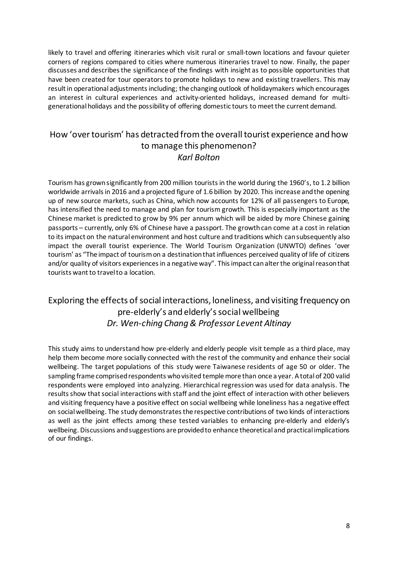likely to travel and offering itineraries which visit rural or small-town locations and favour quieter corners of regions compared to cities where numerous itineraries travel to now. Finally, the paper discusses and describes the significance of the findings with insight as to possible opportunities that have been created for tour operators to promote holidays to new and existing travellers. This may result in operational adjustments including; the changing outlook of holidaymakers which encourages an interest in cultural experiences and activity-oriented holidays, increased demand for multigenerational holidays and the possibility of offering domestic tours to meet the current demand.

#### <span id="page-7-1"></span><span id="page-7-0"></span>How 'over tourism' has detracted from the overall tourist experience and how to manage this phenomenon? *Karl Bolton*

Tourism has grown significantly from 200 million tourists in the world during the 1960's, to 1.2 billion worldwide arrivals in 2016 and a projected figure of 1.6 billion by 2020. This increase and the opening up of new source markets, such as China, which now accounts for 12% of all passengers to Europe, has intensified the need to manage and plan for tourism growth. This is especially important as the Chinese market is predicted to grow by 9% per annum which will be aided by more Chinese gaining passports – currently, only 6% of Chinese have a passport. The growth can come at a cost in relation to its impact on the natural environment and host culture and traditions which can subsequently also impact the overall tourist experience. The World Tourism Organization (UNWTO) defines 'over tourism' as "The impact of tourism on a destination that influences perceived quality of life of citizens and/or quality of visitors experiences in a negative way". This impact can alter the original reason that tourists want to travel to a location.

#### <span id="page-7-3"></span><span id="page-7-2"></span>Exploring the effects of social interactions, loneliness, and visiting frequency on pre-elderly's and elderly's social wellbeing *Dr. Wen-ching Chang & Professor Levent Altinay*

This study aims to understand how pre-elderly and elderly people visit temple as a third place, may help them become more socially connected with the rest of the community and enhance their social wellbeing. The target populations of this study were Taiwanese residents of age 50 or older. The sampling frame comprised respondents who visited temple more than once a year. A total of 200 valid respondents were employed into analyzing. Hierarchical regression was used for data analysis. The results show that social interactions with staff and the joint effect of interaction with other believers and visiting frequency have a positive effect on social wellbeing while loneliness has a negative effect on social wellbeing. The study demonstrates the respective contributions of two kinds of interactions as well as the joint effects among these tested variables to enhancing pre-elderly and elderly's wellbeing. Discussions and suggestions are provided to enhance theoretical and practical implications of our findings.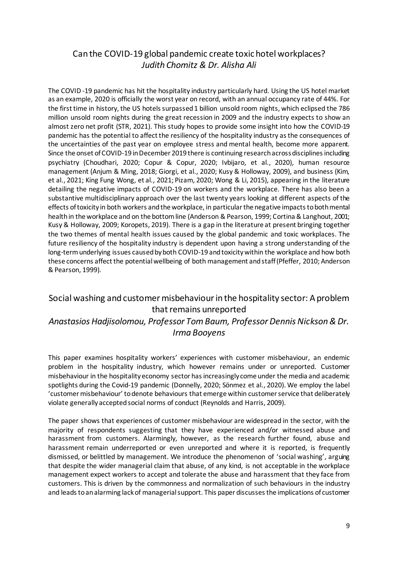#### <span id="page-8-0"></span>Can the COVID-19 global pandemic create toxic hotel workplaces? *Judith Chomitz & Dr. Alisha Ali*

<span id="page-8-1"></span>The COVID -19 pandemic has hit the hospitality industry particularly hard. Using the US hotel market as an example, 2020 is officially the worst year on record, with an annual occupancy rate of 44%. For the first time in history, the US hotels surpassed 1 billion unsold room nights, which eclipsed the 786 million unsold room nights during the great recession in 2009 and the industry expects to show an almost zero net profit (STR, 2021). This study hopes to provide some insight into how the COVID-19 pandemic has the potential to affect the resiliency of the hospitality industry as the consequences of the uncertainties of the past year on employee stress and mental health, become more apparent. Since the onset of COVID-19 in December 2019 there is continuing research across disciplines including psychiatry (Choudhari, 2020; Copur & Copur, 2020; Ivbijaro, et al., 2020), human resource management (Anjum & Ming, 2018; Giorgi, et al., 2020; Kusy & Holloway, 2009), and business (Kim, et al., 2021; King Fung Wong, et al., 2021; Pizam, 2020; Wong & Li, 2015), appearing in the literature detailing the negative impacts of COVID-19 on workers and the workplace. There has also been a substantive multidisciplinary approach over the last twenty years looking at different aspects of the effects of toxicity in both workers and the workplace, in particular the negative impacts to both mental health in the workplace and on the bottom line (Anderson & Pearson, 1999; Cortina & Langhout, 2001; Kusy & Holloway, 2009; Koropets, 2019). There is a gap in the literature at present bringing together the two themes of mental health issues caused by the global pandemic and toxic workplaces. The future resiliency of the hospitality industry is dependent upon having a strong understanding of the long-termunderlying issues caused by both COVID-19 and toxicity within the workplace and how both these concerns affect the potential wellbeing of both management and staff (Pfeffer, 2010; Anderson & Pearson, 1999).

## <span id="page-8-3"></span><span id="page-8-2"></span>Social washing and customer misbehaviour in the hospitality sector: A problem that remains unreported *Anastasios Hadjisolomou, Professor Tom Baum, Professor Dennis Nickson & Dr.*

#### *Irma Booyens*

This paper examines hospitality workers' experiences with customer misbehaviour, an endemic problem in the hospitality industry, which however remains under or unreported. Customer misbehaviour in the hospitality economy sector has increasingly come under the media and academic spotlights during the Covid-19 pandemic (Donnelly, 2020; Sönmez et al., 2020). We employ the label 'customer misbehaviour' to denote behaviours that emerge within customer service that deliberately violate generally accepted social norms of conduct (Reynolds and Harris, 2009).

The paper shows that experiences of customer misbehaviour are widespread in the sector, with the majority of respondents suggesting that they have experienced and/or witnessed abuse and harassment from customers. Alarmingly, however, as the research further found, abuse and harassment remain underreported or even unreported and where it is reported, is frequently dismissed, or belittled by management. We introduce the phenomenon of 'social washing', arguing that despite the wider managerial claim that abuse, of any kind, is not acceptable in the workplace management expect workers to accept and tolerate the abuse and harassment that they face from customers. This is driven by the commonness and normalization of such behaviours in the industry and leads to an alarming lack of managerial support. This paper discusses the implications of customer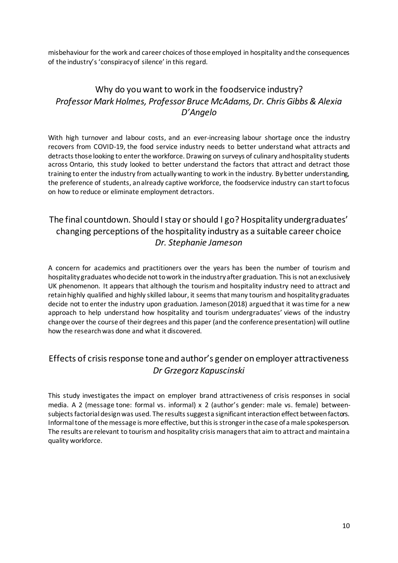misbehaviour for the work and career choices of those employed in hospitality and the consequences of the industry's 'conspiracy of silence' in this regard.

## <span id="page-9-1"></span><span id="page-9-0"></span>Why do you want to work in the foodservice industry? *Professor Mark Holmes, Professor Bruce McAdams, Dr. Chris Gibbs & Alexia D'Angelo*

With high turnover and labour costs, and an ever-increasing labour shortage once the industry recovers from COVID-19, the food service industry needs to better understand what attracts and detracts those looking to enter the workforce. Drawing on surveys of culinary and hospitality students across Ontario, this study looked to better understand the factors that attract and detract those training to enter the industry from actually wanting to work in the industry. By better understanding, the preference of students, an already captive workforce, the foodservice industry can start to focus on how to reduce or eliminate employment detractors.

## <span id="page-9-3"></span><span id="page-9-2"></span>The final countdown. Should I stay or should I go? Hospitality undergraduates' changing perceptions of the hospitality industry as a suitable career choice *Dr. Stephanie Jameson*

A concern for academics and practitioners over the years has been the number of tourism and hospitality graduates who decide not to work in the industry after graduation. This is not an exclusively UK phenomenon. It appears that although the tourism and hospitality industry need to attract and retain highly qualified and highly skilled labour, it seems that many tourism and hospitality graduates decide not to enter the industry upon graduation. Jameson (2018) argued that it was time for a new approach to help understand how hospitality and tourism undergraduates' views of the industry change over the course of their degrees and this paper (and the conference presentation) will outline how the research was done and what it discovered.

## <span id="page-9-5"></span><span id="page-9-4"></span>Effects of crisis response tone and author's gender on employer attractiveness *Dr Grzegorz Kapuscinski*

This study investigates the impact on employer brand attractiveness of crisis responses in social media. A 2 (message tone: formal vs. informal) x 2 (author's gender: male vs. female) betweensubjects factorial design was used. The results suggest a significant interaction effect between factors. Informal tone of the message is more effective, but this is stronger in the case of a male spokesperson. The results are relevant to tourism and hospitality crisis managers that aim to attract and maintain a quality workforce.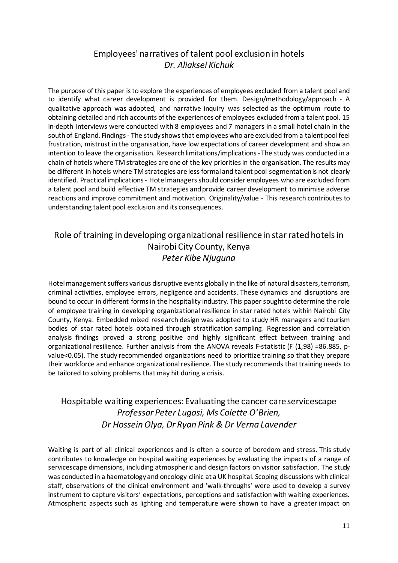## Employees' narratives of talent pool exclusion in hotels *Dr. Aliaksei Kichuk*

<span id="page-10-1"></span><span id="page-10-0"></span>The purpose of this paper is to explore the experiences of employees excluded from a talent pool and to identify what career development is provided for them. Design/methodology/approach - A qualitative approach was adopted, and narrative inquiry was selected as the optimum route to obtaining detailed and rich accounts of the experiences of employees excluded from a talent pool. 15 in-depth interviews were conducted with 8 employees and 7 managers in a small hotel chain in the south of England. Findings- The study shows that employees who are excluded from a talent pool feel frustration, mistrust in the organisation, have low expectations of career development and show an intention to leave the organisation. Research limitations/implications- The study was conducted in a chain of hotels where TM strategies are one of the key priorities in the organisation. The results may be different in hotels where TM strategies are less formal and talent pool segmentation is not clearly identified. Practical implications- Hotel managers should consider employees who are excluded from a talent pool and build effective TM strategies and provide career development to minimise adverse reactions and improve commitment and motivation. Originality/value - This research contributes to understanding talent pool exclusion and its consequences.

#### <span id="page-10-3"></span><span id="page-10-2"></span>Role of training in developing organizational resilience in star rated hotels in Nairobi City County, Kenya *Peter Kibe Njuguna*

Hotel management suffers various disruptive events globally in the like of natural disasters, terrorism, criminal activities, employee errors, negligence and accidents. These dynamics and disruptions are bound to occur in different forms in the hospitality industry. This paper sought to determine the role of employee training in developing organizational resilience in star rated hotels within Nairobi City County, Kenya. Embedded mixed research design was adopted to study HR managers and tourism bodies of star rated hotels obtained through stratification sampling. Regression and correlation analysis findings proved a strong positive and highly significant effect between training and organizational resilience. Further analysis from the ANOVA reveals F-statistic (F (1,98) =86.885, pvalue<0.05). The study recommended organizations need to prioritize training so that they prepare their workforce and enhance organizational resilience. The study recommends that training needs to be tailored to solving problems that may hit during a crisis.

## <span id="page-10-6"></span><span id="page-10-5"></span><span id="page-10-4"></span>Hospitable waiting experiences: Evaluating the cancer care servicescape *Professor Peter Lugosi, Ms Colette O'Brien, Dr Hossein Olya, Dr Ryan Pink & Dr Verna Lavender*

Waiting is part of all clinical experiences and is often a source of boredom and stress. This study contributes to knowledge on hospital waiting experiences by evaluating the impacts of a range of servicescape dimensions, including atmospheric and design factors on visitor satisfaction. The study was conducted in a haematologyand oncology clinic at a UK hospital. Scoping discussions with clinical staff, observations of the clinical environment and 'walk-throughs' were used to develop a survey instrument to capture visitors' expectations, perceptions and satisfaction with waiting experiences. Atmospheric aspects such as lighting and temperature were shown to have a greater impact on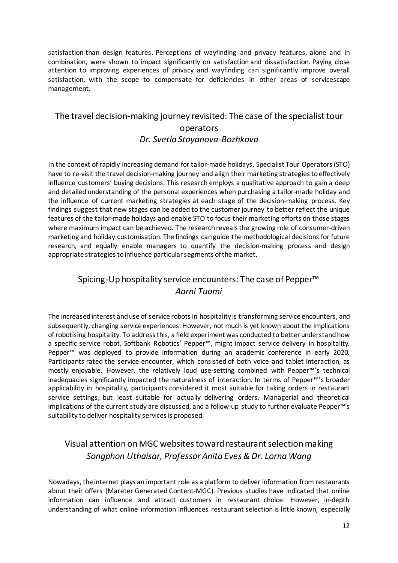satisfaction than design features. Perceptions of wayfinding and privacy features, alone and in combination, were shown to impact significantly on satisfaction and dissatisfaction. Paying close attention to improving experiences of privacy and wayfinding can significantly improve overall satisfaction, with the scope to compensate for deficiencies in other areas of servicescape management.

## <span id="page-11-1"></span><span id="page-11-0"></span>The travel decision-making journey revisited: The case of the specialist tour operators *Dr. Svetla Stoyanova-Bozhkova*

In the context of rapidly increasing demand for tailor-made holidays, Specialist Tour Operators (STO) have to re-visit the travel decision-making journey and align their marketing strategies to effectively influence customers' buying decisions. This research employs a qualitative approach to gain a deep and detailed understanding of the personal experiences when purchasing a tailor-made holiday and the influence of current marketing strategies at each stage of the decision-making process. Key findings suggest that new stages can be added to the customer journey to better reflect the unique features of the tailor-made holidays and enable STO to focus their marketing efforts on those stages where maximum impact can be achieved. The research reveals the growing role of consumer-driven marketing and holiday customisation. The findings can guide the methodological decisions for future research, and equally enable managers to quantify the decision-making process and design appropriate strategies to influence particular segments of the market.

## <span id="page-11-2"></span>Spicing-Up hospitality service encounters: The case of Pepper<sup>™</sup> *Aarni Tuomi*

<span id="page-11-3"></span>The increased interest and use of service robots in hospitality is transforming service encounters, and subsequently, changing service experiences. However, not much is yet known about the implications of robotising hospitality. To address this, a field experiment was conducted to better understand how a specific service robot, Softbank Robotics' Pepper™, might impact service delivery in hospitality. Pepper™ was deployed to provide information during an academic conference in early 2020. Participants rated the service encounter, which consisted of both voice and tablet interaction, as mostly enjoyable. However, the relatively loud use-setting combined with Pepper™'s technical inadequacies significantly impacted the naturalness of interaction. In terms of Pepper™'s broader applicability in hospitality, participants considered it most suitable for taking orders in restaurant service settings, but least suitable for actually delivering orders. Managerial and theoretical implications of the current study are discussed, and a follow-up study to further evaluate Pepper™'s suitability to deliver hospitality services is proposed.

## <span id="page-11-5"></span><span id="page-11-4"></span>Visual attention on MGC websites toward restaurant selection making *Songphon Uthaisar, Professor Anita Eves & Dr. Lorna Wang*

Nowadays, the internet plays an important role as a platform to deliver information from restaurants about their offers (Mareter Generated Content-MGC). Previous studies have indicated that online information can influence and attract customers in restaurant choice. However, in-depth understanding of what online information influences restaurant selection is little known, especially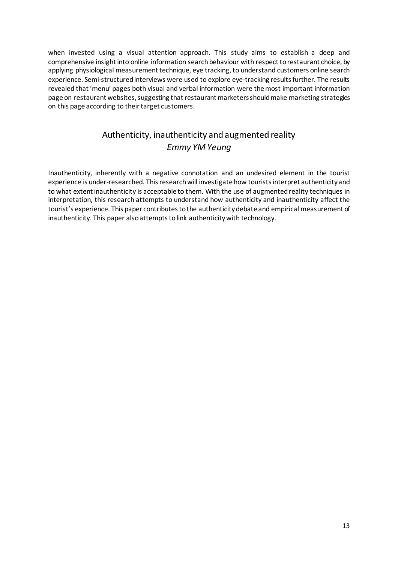when invested using a visual attention approach. This study aims to establish a deep and comprehensive insight into online information search behaviour with respect to restaurant choice, by applying physiological measurement technique, eye tracking, to understand customers online search experience. Semi-structured interviews were used to explore eye-tracking results further. The results revealed that 'menu' pages both visual and verbal information were the most important information page on restaurant websites, suggesting that restaurant marketers should make marketing strategies on this page according to their target customers.

## Authenticity, inauthenticity and augmented reality *Emmy YM Yeung*

<span id="page-12-1"></span><span id="page-12-0"></span>Inauthenticity, inherently with a negative connotation and an undesired element in the tourist experience is under-researched. This research will investigate how tourists interpret authenticity and to what extent inauthenticity is acceptable to them. With the use of augmented reality techniques in interpretation, this research attempts to understand how authenticity and inauthenticity affect the tourist's experience. This paper contributes to the authenticity debate and empirical measurement of inauthenticity. This paper also attempts to link authenticity with technology.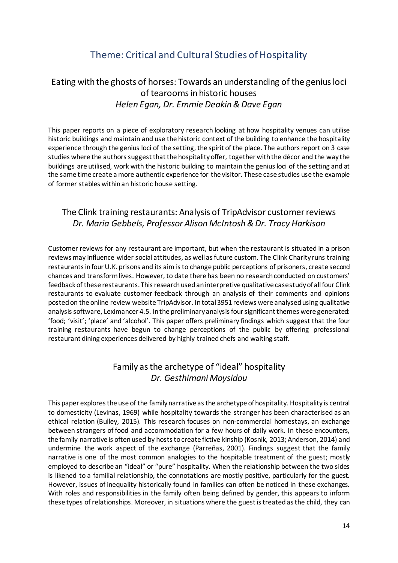## Theme: Critical and Cultural Studies of Hospitality

#### <span id="page-13-2"></span><span id="page-13-1"></span><span id="page-13-0"></span>Eating with the ghosts of horses: Towards an understanding of the genius loci of tearooms in historic houses *Helen Egan, Dr. Emmie Deakin & Dave Egan*

This paper reports on a piece of exploratory research looking at how hospitality venues can utilise historic buildings and maintain and use the historic context of the building to enhance the hospitality experience through the genius loci of the setting, the spirit of the place. The authors report on 3 case studies where the authors suggest that the hospitality offer, together with the décor and the way the buildings are utilised, work with the historic building to maintain the genius loci of the setting and at the same time create a more authentic experience for the visitor. These case studies use the example of former stables within an historic house setting.

#### <span id="page-13-4"></span><span id="page-13-3"></span>The Clink training restaurants: Analysis of TripAdvisor customer reviews *Dr. Maria Gebbels, Professor Alison McIntosh & Dr. Tracy Harkison*

Customer reviews for any restaurant are important, but when the restaurant is situated in a prison reviews may influence wider social attitudes, as well as future custom. The Clink Charity runs training restaurants in four U.K. prisons and its aim is to change public perceptions of prisoners, create second chances and transform lives. However, to date there has been no research conducted on customers' feedback of these restaurants. This research used an interpretive qualitative case study of all four Clink restaurants to evaluate customer feedback through an analysis of their comments and opinions posted on the online review website TripAdvisor. In total 3951 reviews were analysed using qualitative analysis software, Leximancer 4.5. In the preliminary analysis four significant themes were generated: 'food; 'visit'; 'place' and 'alcohol'. This paper offers preliminary findings which suggest that the four training restaurants have begun to change perceptions of the public by offering professional restaurant dining experiences delivered by highly trained chefs and waiting staff.

## Family as the archetype of "ideal" hospitality *Dr. Gesthimani Moysidou*

<span id="page-13-6"></span><span id="page-13-5"></span>This paper explores the use of the family narrative as the archetype of hospitality. Hospitality is central to domesticity (Levinas, 1969) while hospitality towards the stranger has been characterised as an ethical relation (Bulley, 2015). This research focuses on non-commercial homestays, an exchange between strangers of food and accommodation for a few hours of daily work. In these encounters, the family narrative is often used by hosts to create fictive kinship (Kosnik, 2013; Anderson, 2014) and undermine the work aspect of the exchange (Parreñas, 2001). Findings suggest that the family narrative is one of the most common analogies to the hospitable treatment of the guest; mostly employed to describe an "ideal" or "pure" hospitality. When the relationship between the two sides is likened to a familial relationship, the connotations are mostly positive, particularly for the guest. However, issues of inequality historically found in families can often be noticed in these exchanges. With roles and responsibilities in the family often being defined by gender, this appears to inform these types of relationships. Moreover, in situations where the guest is treated as the child, they can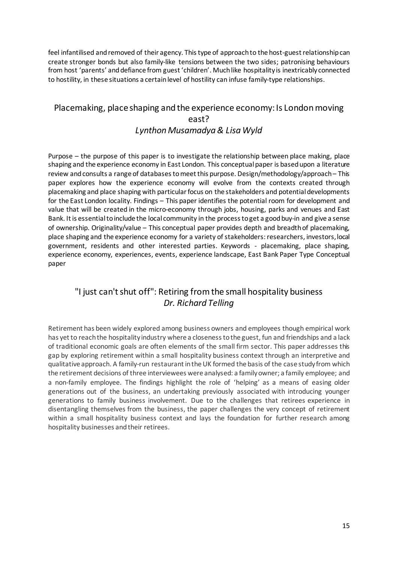feel infantilised and removed of their agency. This type of approach to the host-guest relationship can create stronger bonds but also family-like tensions between the two sides; patronising behaviours from host 'parents' and defiance from guest 'children'. Much like hospitality is inextricably connected to hostility, in these situations a certain level of hostility can infuse family-type relationships.

#### <span id="page-14-1"></span><span id="page-14-0"></span>Placemaking, place shaping and the experience economy: Is London moving east? *Lynthon Musamadya & Lisa Wyld*

Purpose – the purpose of this paper is to investigate the relationship between place making, place shaping and the experience economy in East London. This conceptual paper is based upon a literature review and consults a range of databases to meet this purpose. Design/methodology/approach – This paper explores how the experience economy will evolve from the contexts created through placemaking and place shaping with particular focus on the stakeholders and potential developments for the East London locality. Findings – This paper identifies the potential room for development and value that will be created in the micro-economy through jobs, housing, parks and venues and East Bank. It is essential to include the local community in the process to get a good buy-in and give a sense of ownership. Originality/value – This conceptual paper provides depth and breadth of placemaking, place shaping and the experience economy for a variety of stakeholders: researchers, investors, local government, residents and other interested parties. Keywords - placemaking, place shaping, experience economy, experiences, events, experience landscape, East Bank Paper Type Conceptual paper

## <span id="page-14-2"></span>"I just can't shut off": Retiring from the small hospitality business *Dr. Richard Telling*

<span id="page-14-3"></span>Retirement has been widely explored among business owners and employees though empirical work has yet to reach the hospitality industry where a closeness to the guest, fun and friendships and a lack of traditional economic goals are often elements of the small firm sector. This paper addresses this gap by exploring retirement within a small hospitality business context through an interpretive and qualitative approach. A family-run restaurant in the UK formed the basis of the case study from which the retirement decisions of three interviewees were analysed: a family owner; a family employee; and a non-family employee. The findings highlight the role of 'helping' as a means of easing older generations out of the business, an undertaking previously associated with introducing younger generations to family business involvement. Due to the challenges that retirees experience in disentangling themselves from the business, the paper challenges the very concept of retirement within a small hospitality business context and lays the foundation for further research among hospitality businesses and their retirees.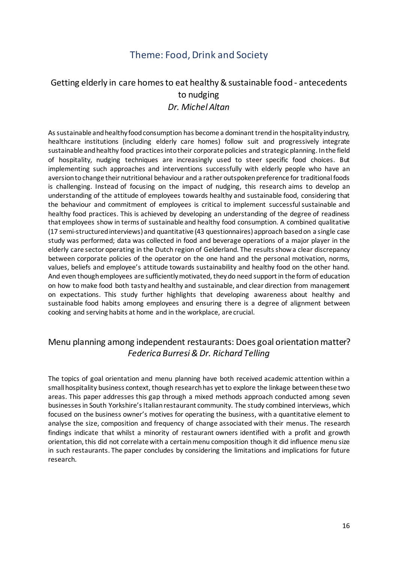## Theme: Food, Drink and Society

#### <span id="page-15-2"></span><span id="page-15-1"></span><span id="page-15-0"></span>Getting elderly in care homes to eat healthy & sustainable food - antecedents to nudging *Dr. Michel Altan*

As sustainable and healthy food consumption has become a dominant trend in the hospitality industry, healthcare institutions (including elderly care homes) follow suit and progressively integrate sustainable and healthy food practices into their corporate policies and strategic planning. In the field of hospitality, nudging techniques are increasingly used to steer specific food choices. But implementing such approaches and interventions successfully with elderly people who have an aversion to change their nutritional behaviour and a rather outspoken preference for traditional foods is challenging. Instead of focusing on the impact of nudging, this research aims to develop an understanding of the attitude of employees towards healthy and sustainable food, considering that the behaviour and commitment of employees is critical to implement successful sustainable and healthy food practices. This is achieved by developing an understanding of the degree of readiness that employees show in terms of sustainable and healthy food consumption. A combined qualitative (17 semi-structured interviews) and quantitative (43 questionnaires) approach based on a single case study was performed; data was collected in food and beverage operations of a major player in the elderly care sector operating in the Dutch region of Gelderland. The results show a clear discrepancy between corporate policies of the operator on the one hand and the personal motivation, norms, values, beliefs and employee's attitude towards sustainability and healthy food on the other hand. And even though employees are sufficiently motivated, they do need support in the form of education on how to make food both tasty and healthy and sustainable, and clear direction from management on expectations. This study further highlights that developing awareness about healthy and sustainable food habits among employees and ensuring there is a degree of alignment between cooking and serving habits at home and in the workplace, are crucial.

#### <span id="page-15-4"></span><span id="page-15-3"></span>Menu planning among independent restaurants: Does goal orientation matter? *Federica Burresi & Dr. Richard Telling*

The topics of goal orientation and menu planning have both received academic attention within a smallhospitality business context, though research has yet to explore the linkage between these two areas. This paper addresses this gap through a mixed methods approach conducted among seven businesses in South Yorkshire's Italian restaurant community. The study combined interviews, which focused on the business owner's motives for operating the business, with a quantitative element to analyse the size, composition and frequency of change associated with their menus. The research findings indicate that whilst a minority of restaurant owners identified with a profit and growth orientation, this did not correlate with a certain menu composition though it did influence menu size in such restaurants. The paper concludes by considering the limitations and implications for future research.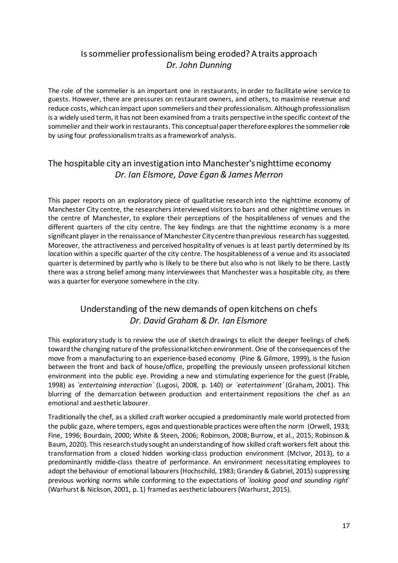## <span id="page-16-0"></span>Is sommelier professionalism being eroded? A traits approach *Dr. John Dunning*

<span id="page-16-1"></span>The role of the sommelier is an important one in restaurants, in order to facilitate wine service to guests. However, there are pressures on restaurant owners, and others, to maximise revenue and reduce costs, which can impact upon sommeliers and their professionalism. Although professionalism is a widely used term, it has not been examined from a traits perspective in the specific context of the sommelier and their work in restaurants. This conceptual paper therefore explores the sommelier role by using four professionalism traits as a framework of analysis.

#### <span id="page-16-3"></span><span id="page-16-2"></span>The hospitable city an investigation into Manchester's nighttime economy *Dr. Ian Elsmore, Dave Egan & James Merron*

This paper reports on an exploratory piece of qualitative research into the nighttime economy of Manchester City centre, the researchers interviewed visitors to bars and other nighttime venues in the centre of Manchester, to explore their perceptions of the hospitableness of venues and the different quarters of the city centre. The key findings are that the nighttime economy is a more significant player in the renaissance of Manchester City centre than previous research has suggested. Moreover, the attractiveness and perceived hospitality of venues is at least partly determined by its location within a specific quarter of the city centre. The hospitableness of a venue and its associated quarter is determined by partly who is likely to be there but also who is not likely to be there. Lastly there was a strong belief among many interviewees that Manchester was a hospitable city, as there was a quarter for everyone somewhere in the city.

## Understanding of the new demands of open kitchens on chefs *Dr. David Graham & Dr. Ian Elsmore*

<span id="page-16-5"></span><span id="page-16-4"></span>This exploratory study is to review the use of sketch drawings to elicit the deeper feelings of chefs toward the changing nature of the professional kitchen environment. One of the consequences of the move from a manufacturing to an experience-based economy (Pine & Gilmore, 1999), is the fusion between the front and back of house/office, propelling the previously unseen professional kitchen environment into the public eye. Providing a new and stimulating experience for the guest (Frable, 1998) as *`entertaining interaction`* (Lugosi, 2008, p. 140) or *`eatertainment`* (Graham, 2001). This blurring of the demarcation between production and entertainment repositions the chef as an emotional and aesthetic labourer.

Traditionally the chef, as a skilled craft worker occupied a predominantly male world protected from the public gaze, where tempers, egos and questionable practices were often the norm (Orwell, 1933; Fine, 1996; Bourdain, 2000; White & Steen, 2006; Robinson, 2008; Burrow, et al., 2015; Robinson & Baum, 2020). This research study sought an understanding of how skilled craft workers felt about this transformation from a closed hidden working-class production environment (McIvor, 2013), to a predominantly middle-class theatre of performance. An environment necessitating employees to adopt the behaviour of emotional labourers (Hochschild, 1983; Grandey & Gabriel, 2015) suppressing previous working norms while conforming to the expectations of *`looking good and sounding right*` (Warhurst & Nickson, 2001, p. 1) framed as aesthetic labourers (Warhurst, 2015).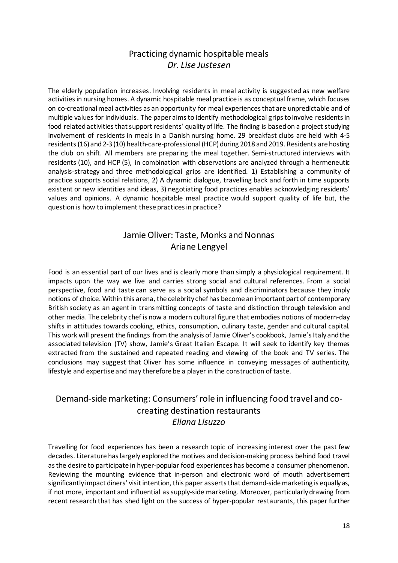#### Practicing dynamic hospitable meals *Dr. Lise Justesen*

<span id="page-17-1"></span><span id="page-17-0"></span>The elderly population increases. Involving residents in meal activity is suggested as new welfare activities in nursing homes. A dynamic hospitable meal practice is as conceptual frame, which focuses on co-creational meal activities as an opportunity for meal experiences that are unpredictable and of multiple values for individuals. The paper aims to identify methodological grips to involve residents in food related activities that support residents' quality of life. The finding is based on a project studying involvement of residents in meals in a Danish nursing home. 29 breakfast clubs are held with 4-5 residents (16) and 2-3 (10) health-care-professional (HCP) during 2018 and 2019. Residents are hosting the club on shift. All members are preparing the meal together. Semi-structured interviews with residents (10), and HCP (5), in combination with observations are analyzed through a hermeneutic analysis-strategy and three methodological grips are identified. 1) Establishing a community of practice supports social relations, 2) A dynamic dialogue, travelling back and forth in time supports existent or new identities and ideas, 3) negotiating food practices enables acknowledging residents' values and opinions. A dynamic hospitable meal practice would support quality of life but, the question is how to implement these practices in practice?

## Jamie Oliver: Taste, Monks and Nonnas Ariane Lengyel

<span id="page-17-3"></span><span id="page-17-2"></span>Food is an essential part of our lives and is clearly more than simply a physiological requirement. It impacts upon the way we live and carries strong social and cultural references. From a social perspective, food and taste can serve as a social symbols and discriminators because they imply notions of choice. Within this arena, the celebrity chef has become an important part of contemporary British society as an agent in transmitting concepts of taste and distinction through television and other media. The celebrity chef is now a modern cultural figure that embodies notions of modern-day shifts in attitudes towards cooking, ethics, consumption, culinary taste, gender and cultural capital. This work will present the findings from the analysis of Jamie Oliver's cookbook, Jamie's Italy and the associated television (TV) show, Jamie's Great Italian Escape. It will seek to identify key themes extracted from the sustained and repeated reading and viewing of the book and TV series. The conclusions may suggest that Oliver has some influence in conveying messages of authenticity, lifestyle and expertise and may therefore be a player in the construction of taste.

#### <span id="page-17-5"></span><span id="page-17-4"></span>Demand-side marketing: Consumers' role in influencing food travel and cocreating destination restaurants *Eliana Lisuzzo*

Travelling for food experiences has been a research topic of increasing interest over the past few decades. Literature has largely explored the motives and decision-making process behind food travel as the desire to participate in hyper-popular food experiences has become a consumer phenomenon. Reviewing the mounting evidence that in-person and electronic word of mouth advertisement significantly impact diners' visit intention, this paper asserts that demand-side marketing is equally as, if not more, important and influential as supply-side marketing. Moreover, particularly drawing from recent research that has shed light on the success of hyper-popular restaurants, this paper further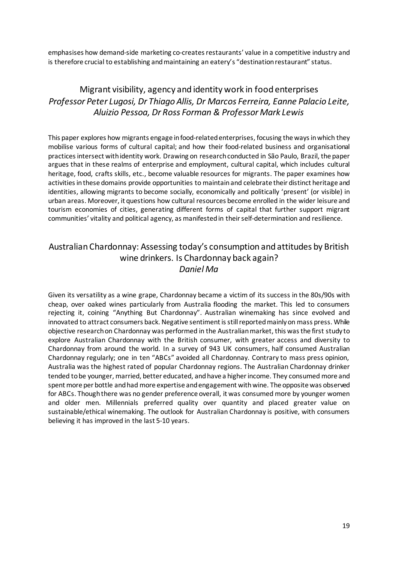emphasises how demand-side marketing co-creates restaurants' value in a competitive industry and is therefore crucial to establishing and maintaining an eatery's "destination restaurant" status.

## <span id="page-18-1"></span><span id="page-18-0"></span>Migrant visibility, agency and identity work in food enterprises *Professor Peter Lugosi, Dr Thiago Allis, Dr Marcos Ferreira, Eanne Palacio Leite, Aluizio Pessoa, Dr Ross Forman & Professor Mark Lewis*

This paper explores how migrants engage in food-related enterprises, focusing the ways in which they mobilise various forms of cultural capital; and how their food-related business and organisational practices intersect with identity work. Drawing on research conducted in São Paulo, Brazil, the paper argues that in these realms of enterprise and employment, cultural capital, which includes cultural heritage, food, crafts skills, etc., become valuable resources for migrants. The paper examines how activities in these domains provide opportunities to maintain and celebrate their distinct heritage and identities, allowing migrants to become socially, economically and politically 'present' (or visible) in urban areas. Moreover, it questions how cultural resources become enrolled in the wider leisure and tourism economies of cities, generating different forms of capital that further support migrant communities' vitality and political agency, as manifested in their self-determination and resilience.

#### <span id="page-18-3"></span><span id="page-18-2"></span>Australian Chardonnay: Assessing today's consumption and attitudes by British wine drinkers. Is Chardonnay back again? *Daniel Ma*

Given its versatility as a wine grape, Chardonnay became a victim of its success in the 80s/90s with cheap, over oaked wines particularly from Australia flooding the market. This led to consumers rejecting it, coining "Anything But Chardonnay". Australian winemaking has since evolved and innovated to attract consumers back. Negative sentiment is still reported mainly on mass press. While objective research on Chardonnay was performed in the Australian market, this was the first study to explore Australian Chardonnay with the British consumer, with greater access and diversity to Chardonnay from around the world. In a survey of 943 UK consumers, half consumed Australian Chardonnay regularly; one in ten "ABCs" avoided all Chardonnay. Contrary to mass press opinion, Australia was the highest rated of popular Chardonnay regions. The Australian Chardonnay drinker tended to be younger, married, better educated, and have a higher income. They consumed more and spent more per bottle and had more expertise and engagement with wine. The opposite was observed for ABCs. Though there was no gender preference overall, it was consumed more by younger women and older men. Millennials preferred quality over quantity and placed greater value on sustainable/ethical winemaking. The outlook for Australian Chardonnay is positive, with consumers believing it has improved in the last 5-10 years.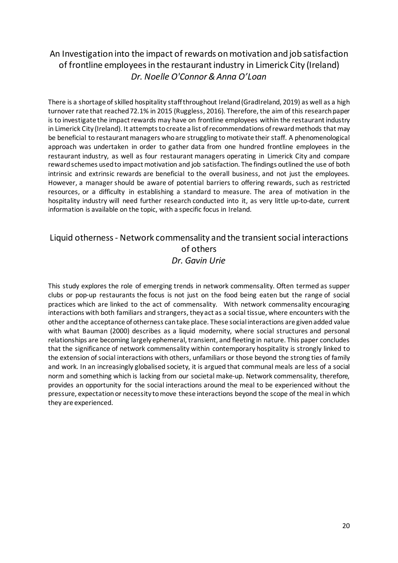## <span id="page-19-1"></span><span id="page-19-0"></span>An Investigation into the impact of rewards on motivation and job satisfaction of frontline employees in the restaurant industry in Limerick City (Ireland) *Dr. Noelle O'Connor & Anna O'Loan*

There is a shortage of skilled hospitality staff throughout Ireland (GradIreland, 2019) as well as a high turnover rate that reached 72.1% in 2015 (Ruggless, 2016). Therefore, the aim of this research paper is to investigate the impact rewards may have on frontline employees within the restaurant industry in Limerick City (Ireland). It attempts to create a list of recommendations of reward methods that may be beneficial to restaurant managers who are struggling to motivate their staff. A phenomenological approach was undertaken in order to gather data from one hundred frontline employees in the restaurant industry, as well as four restaurant managers operating in Limerick City and compare reward schemes used to impact motivation and job satisfaction. The findings outlined the use of both intrinsic and extrinsic rewards are beneficial to the overall business, and not just the employees. However, a manager should be aware of potential barriers to offering rewards, such as restricted resources, or a difficulty in establishing a standard to measure. The area of motivation in the hospitality industry will need further research conducted into it, as very little up-to-date, current information is available on the topic, with a specific focus in Ireland.

#### <span id="page-19-3"></span><span id="page-19-2"></span>Liquid otherness - Network commensality and the transient social interactions of others *Dr. Gavin Urie*

This study explores the role of emerging trends in network commensality. Often termed as supper clubs or pop-up restaurants the focus is not just on the food being eaten but the range of social practices which are linked to the act of commensality. With network commensality encouraging interactions with both familiars and strangers, they act as a social tissue, where encounters with the other and the acceptance of otherness can take place. These social interactions are given added value with what Bauman (2000) describes as a liquid modernity, where social structures and personal relationships are becoming largely ephemeral, transient, and fleeting in nature. This paper concludes that the significance of network commensality within contemporary hospitality is strongly linked to the extension of social interactions with others, unfamiliars or those beyond the strong ties of family and work. In an increasingly globalised society, it is argued that communal meals are less of a social norm and something which is lacking from our societal make-up. Network commensality, therefore, provides an opportunity for the social interactions around the meal to be experienced without the pressure, expectation or necessity to move these interactions beyond the scope of the meal in which they are experienced.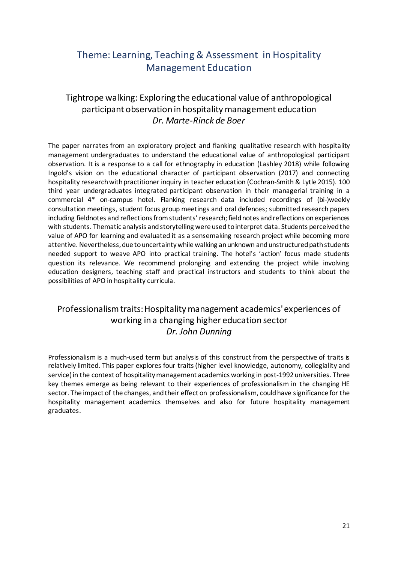## <span id="page-20-0"></span>Theme: Learning, Teaching & Assessment in Hospitality Management Education

## <span id="page-20-1"></span>Tightrope walking: Exploring the educational value of anthropological participant observation in hospitality management education *Dr. Marte-Rinck de Boer*

<span id="page-20-2"></span>The paper narrates from an exploratory project and flanking qualitative research with hospitality management undergraduates to understand the educational value of anthropological participant observation. It is a response to a call for ethnography in education (Lashley 2018) while following Ingold's vision on the educational character of participant observation (2017) and connecting hospitality research with practitioner inquiry in teacher education (Cochran-Smith & Lytle 2015). 100 third year undergraduates integrated participant observation in their managerial training in a commercial 4\* on-campus hotel. Flanking research data included recordings of (bi-)weekly consultation meetings, student focus group meetings and oral defences; submitted research papers including fieldnotes and reflections from students' research; field notes and reflections on experiences with students. Thematic analysis and storytelling were used to interpret data. Students perceived the value of APO for learning and evaluated it as a sensemaking research project while becoming more attentive. Nevertheless, due to uncertainty while walking an unknown and unstructured path students needed support to weave APO into practical training. The hotel's 'action' focus made students question its relevance. We recommend prolonging and extending the project while involving education designers, teaching staff and practical instructors and students to think about the possibilities of APO in hospitality curricula.

#### <span id="page-20-4"></span><span id="page-20-3"></span>Professionalism traits: Hospitality management academics' experiences of working in a changing higher education sector *Dr. John Dunning*

Professionalism is a much-used term but analysis of this construct from the perspective of traits is relatively limited. This paper explores four traits (higher level knowledge, autonomy, collegiality and service) in the context of hospitality management academics working in post-1992 universities. Three key themes emerge as being relevant to their experiences of professionalism in the changing HE sector. The impact of the changes, and their effect on professionalism, could have significance for the hospitality management academics themselves and also for future hospitality management graduates.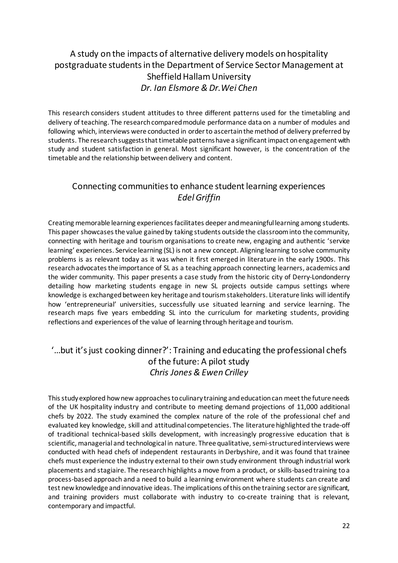## <span id="page-21-0"></span>A study on the impacts of alternative delivery models on hospitality postgraduate students in the Department of Service Sector Management at Sheffield Hallam University *Dr. Ian Elsmore & Dr.Wei Chen*

<span id="page-21-1"></span>This research considers student attitudes to three different patterns used for the timetabling and delivery of teaching. The research compared module performance data on a number of modules and following which, interviews were conducted in order to ascertain the method of delivery preferred by students. The research suggests that timetable patterns have a significant impact on engagement with study and student satisfaction in general. Most significant however, is the concentration of the timetable and the relationship between delivery and content.

#### <span id="page-21-2"></span>Connecting communities to enhance student learning experiences *Edel Griffin*

<span id="page-21-3"></span>Creating memorable learning experiences facilitates deeper and meaningful learning among students. This paper showcases the value gained by taking students outside the classroom into the community, connecting with heritage and tourism organisations to create new, engaging and authentic 'service learning' experiences. Service learning (SL) is not a new concept. Aligning learning to solve community problems is as relevant today as it was when it first emerged in literature in the early 1900s. This research advocates the importance of SL as a teaching approach connecting learners, academics and the wider community. This paper presents a case study from the historic city of Derry-Londonderry detailing how marketing students engage in new SL projects outside campus settings where knowledge is exchanged between key heritage and tourism stakeholders. Literature links will identify how 'entrepreneurial' universities, successfully use situated learning and service learning. The research maps five years embedding SL into the curriculum for marketing students, providing reflections and experiences of the value of learning through heritage and tourism.

#### <span id="page-21-5"></span><span id="page-21-4"></span>'…but it's just cooking dinner?': Training and educating the professional chefs of the future: A pilot study *Chris Jones & Ewen Crilley*

This study explored how new approaches to culinary training and education can meet the future needs of the UK hospitality industry and contribute to meeting demand projections of 11,000 additional chefs by 2022. The study examined the complex nature of the role of the professional chef and evaluated key knowledge, skill and attitudinal competencies. The literature highlighted the trade-off of traditional technical-based skills development, with increasingly progressive education that is scientific, managerial and technological in nature. Three qualitative, semi-structured interviews were conducted with head chefs of independent restaurants in Derbyshire, and it was found that trainee chefs must experience the industry external to their own study environment through industrial work placements and stagiaire. The research highlights a move from a product, or skills-based training to a process-based approach and a need to build a learning environment where students can create and test new knowledge and innovative ideas. The implications of this on the training sector are significant, and training providers must collaborate with industry to co-create training that is relevant, contemporary and impactful.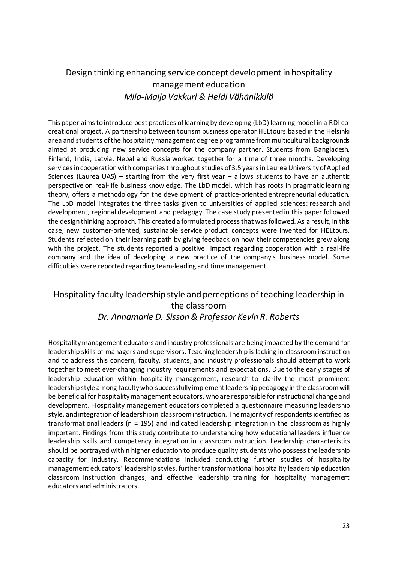## <span id="page-22-0"></span>Design thinking enhancing service concept development in hospitality management education *Miia-Maija Vakkuri & Heidi Vähänikkilä*

<span id="page-22-1"></span>This paper aims to introduce best practices of learning by developing (LbD) learning model in a RDI cocreational project. A partnership between tourism business operator HELtours based in the Helsinki area and students of the hospitality management degree programme from multicultural backgrounds aimed at producing new service concepts for the company partner. Students from Bangladesh, Finland, India, Latvia, Nepal and Russia worked together for a time of three months. Developing services in cooperation with companies throughout studies of 3.5 years in Laurea University of Applied Sciences (Laurea UAS) – starting from the very first year – allows students to have an authentic perspective on real-life business knowledge. The LbD model, which has roots in pragmatic learning theory, offers a methodology for the development of practice-oriented entrepreneurial education. The LbD model integrates the three tasks given to universities of applied sciences: research and development, regional development and pedagogy. The case study presented in this paper followed the design thinking approach. This created a formulated process that was followed. As a result, in this case, new customer-oriented, sustainable service product concepts were invented for HELtours. Students reflected on their learning path by giving feedback on how their competencies grew along with the project. The students reported a positive impact regarding cooperation with a real-life company and the idea of developing a new practice of the company's business model. Some difficulties were reported regarding team-leading and time management.

#### <span id="page-22-3"></span><span id="page-22-2"></span>Hospitality faculty leadership style and perceptions of teaching leadership in the classroom *Dr. Annamarie D. Sisson & Professor Kevin R. Roberts*

Hospitality management educators and industry professionals are being impacted by the demand for leadership skills of managers and supervisors. Teaching leadership is lacking in classroom instruction and to address this concern, faculty, students, and industry professionals should attempt to work together to meet ever-changing industry requirements and expectations. Due to the early stages of leadership education within hospitality management, research to clarify the most prominent leadership style among faculty who successfully implement leadership pedagogy in the classroom will be beneficial for hospitality management educators, who are responsible for instructional change and development. Hospitality management educators completed a questionnaire measuring leadership style, and integration of leadership in classroom instruction. The majority of respondents identified as transformational leaders (n = 195) and indicated leadership integration in the classroom as highly important. Findings from this study contribute to understanding how educational leaders influence leadership skills and competency integration in classroom instruction. Leadership characteristics should be portrayed within higher education to produce quality students who possess the leadership capacity for industry. Recommendations included conducting further studies of hospitality management educators' leadership styles, further transformational hospitality leadership education classroom instruction changes, and effective leadership training for hospitality management educators and administrators.